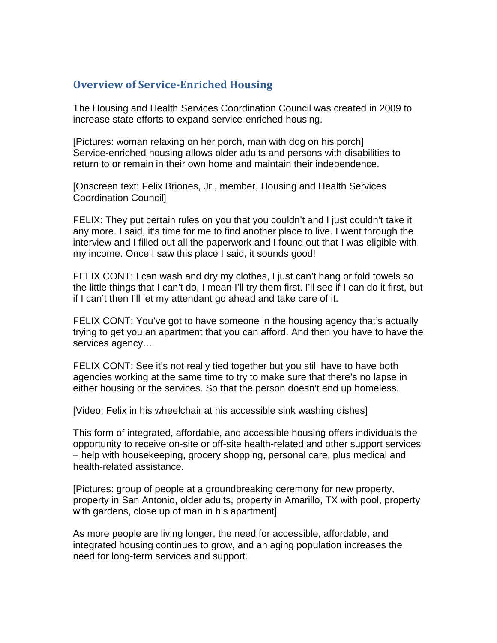## **Overview of Service-Enriched Housing**

The Housing and Health Services Coordination Council was created in 2009 to increase state efforts to expand service-enriched housing.

[Pictures: woman relaxing on her porch, man with dog on his porch] Service-enriched housing allows older adults and persons with disabilities to return to or remain in their own home and maintain their independence.

[Onscreen text: Felix Briones, Jr., member, Housing and Health Services Coordination Council]

FELIX: They put certain rules on you that you couldn't and I just couldn't take it any more. I said, it's time for me to find another place to live. I went through the interview and I filled out all the paperwork and I found out that I was eligible with my income. Once I saw this place I said, it sounds good!

FELIX CONT: I can wash and dry my clothes, I just can't hang or fold towels so the little things that I can't do, I mean I'll try them first. I'll see if I can do it first, but if I can't then I'll let my attendant go ahead and take care of it.

FELIX CONT: You've got to have someone in the housing agency that's actually trying to get you an apartment that you can afford. And then you have to have the services agency…

FELIX CONT: See it's not really tied together but you still have to have both agencies working at the same time to try to make sure that there's no lapse in either housing or the services. So that the person doesn't end up homeless.

[Video: Felix in his wheelchair at his accessible sink washing dishes]

This form of integrated, affordable, and accessible housing offers individuals the opportunity to receive on-site or off-site health-related and other support services – help with housekeeping, grocery shopping, personal care, plus medical and health-related assistance.

[Pictures: group of people at a groundbreaking ceremony for new property, property in San Antonio, older adults, property in Amarillo, TX with pool, property with gardens, close up of man in his apartment]

As more people are living longer, the need for accessible, affordable, and integrated housing continues to grow, and an aging population increases the need for long-term services and support.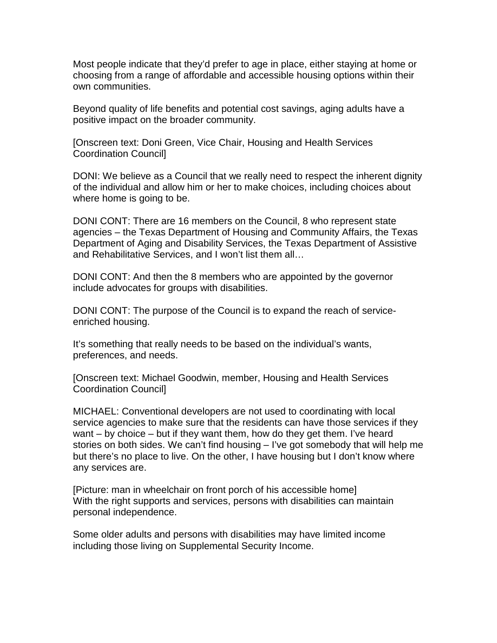Most people indicate that they'd prefer to age in place, either staying at home or choosing from a range of affordable and accessible housing options within their own communities.

Beyond quality of life benefits and potential cost savings, aging adults have a positive impact on the broader community.

[Onscreen text: Doni Green, Vice Chair, Housing and Health Services Coordination Council]

DONI: We believe as a Council that we really need to respect the inherent dignity of the individual and allow him or her to make choices, including choices about where home is going to be.

DONI CONT: There are 16 members on the Council, 8 who represent state agencies – the Texas Department of Housing and Community Affairs, the Texas Department of Aging and Disability Services, the Texas Department of Assistive and Rehabilitative Services, and I won't list them all…

DONI CONT: And then the 8 members who are appointed by the governor include advocates for groups with disabilities.

DONI CONT: The purpose of the Council is to expand the reach of serviceenriched housing.

It's something that really needs to be based on the individual's wants, preferences, and needs.

[Onscreen text: Michael Goodwin, member, Housing and Health Services Coordination Council]

MICHAEL: Conventional developers are not used to coordinating with local service agencies to make sure that the residents can have those services if they want – by choice – but if they want them, how do they get them. I've heard stories on both sides. We can't find housing – I've got somebody that will help me but there's no place to live. On the other, I have housing but I don't know where any services are.

[Picture: man in wheelchair on front porch of his accessible home] With the right supports and services, persons with disabilities can maintain personal independence.

Some older adults and persons with disabilities may have limited income including those living on Supplemental Security Income.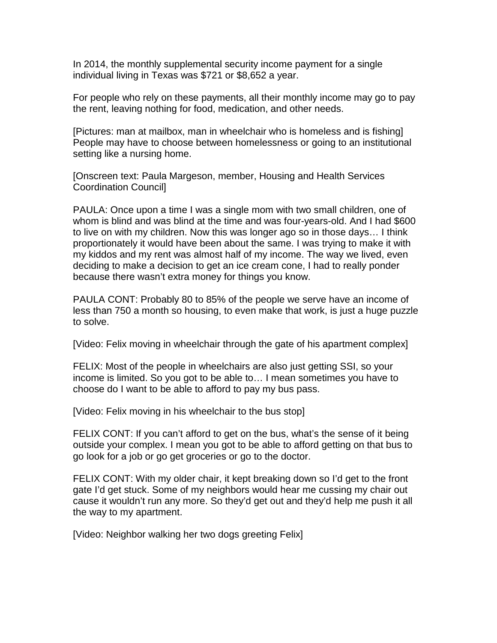In 2014, the monthly supplemental security income payment for a single individual living in Texas was \$721 or \$8,652 a year.

For people who rely on these payments, all their monthly income may go to pay the rent, leaving nothing for food, medication, and other needs.

[Pictures: man at mailbox, man in wheelchair who is homeless and is fishing] People may have to choose between homelessness or going to an institutional setting like a nursing home.

[Onscreen text: Paula Margeson, member, Housing and Health Services Coordination Council]

PAULA: Once upon a time I was a single mom with two small children, one of whom is blind and was blind at the time and was four-years-old. And I had \$600 to live on with my children. Now this was longer ago so in those days… I think proportionately it would have been about the same. I was trying to make it with my kiddos and my rent was almost half of my income. The way we lived, even deciding to make a decision to get an ice cream cone, I had to really ponder because there wasn't extra money for things you know.

PAULA CONT: Probably 80 to 85% of the people we serve have an income of less than 750 a month so housing, to even make that work, is just a huge puzzle to solve.

[Video: Felix moving in wheelchair through the gate of his apartment complex]

FELIX: Most of the people in wheelchairs are also just getting SSI, so your income is limited. So you got to be able to… I mean sometimes you have to choose do I want to be able to afford to pay my bus pass.

[Video: Felix moving in his wheelchair to the bus stop]

FELIX CONT: If you can't afford to get on the bus, what's the sense of it being outside your complex. I mean you got to be able to afford getting on that bus to go look for a job or go get groceries or go to the doctor.

FELIX CONT: With my older chair, it kept breaking down so I'd get to the front gate I'd get stuck. Some of my neighbors would hear me cussing my chair out cause it wouldn't run any more. So they'd get out and they'd help me push it all the way to my apartment.

[Video: Neighbor walking her two dogs greeting Felix]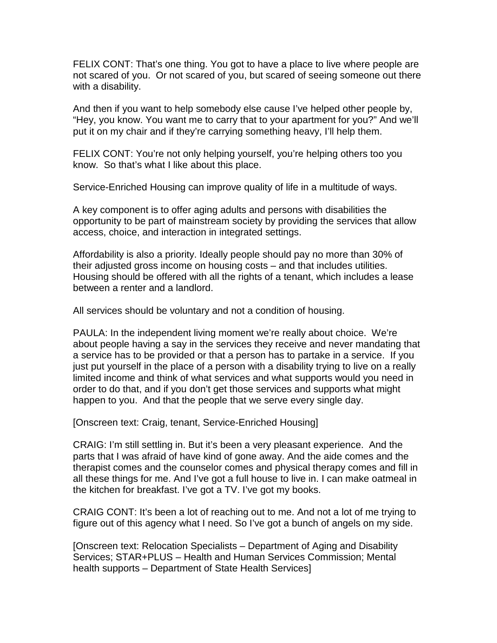FELIX CONT: That's one thing. You got to have a place to live where people are not scared of you. Or not scared of you, but scared of seeing someone out there with a disability.

And then if you want to help somebody else cause I've helped other people by, "Hey, you know. You want me to carry that to your apartment for you?" And we'll put it on my chair and if they're carrying something heavy, I'll help them.

FELIX CONT: You're not only helping yourself, you're helping others too you know. So that's what I like about this place.

Service-Enriched Housing can improve quality of life in a multitude of ways.

A key component is to offer aging adults and persons with disabilities the opportunity to be part of mainstream society by providing the services that allow access, choice, and interaction in integrated settings.

Affordability is also a priority. Ideally people should pay no more than 30% of their adjusted gross income on housing costs – and that includes utilities. Housing should be offered with all the rights of a tenant, which includes a lease between a renter and a landlord.

All services should be voluntary and not a condition of housing.

PAULA: In the independent living moment we're really about choice. We're about people having a say in the services they receive and never mandating that a service has to be provided or that a person has to partake in a service. If you just put yourself in the place of a person with a disability trying to live on a really limited income and think of what services and what supports would you need in order to do that, and if you don't get those services and supports what might happen to you. And that the people that we serve every single day.

[Onscreen text: Craig, tenant, Service-Enriched Housing]

CRAIG: I'm still settling in. But it's been a very pleasant experience. And the parts that I was afraid of have kind of gone away. And the aide comes and the therapist comes and the counselor comes and physical therapy comes and fill in all these things for me. And I've got a full house to live in. I can make oatmeal in the kitchen for breakfast. I've got a TV. I've got my books.

CRAIG CONT: It's been a lot of reaching out to me. And not a lot of me trying to figure out of this agency what I need. So I've got a bunch of angels on my side.

[Onscreen text: Relocation Specialists – Department of Aging and Disability Services; STAR+PLUS – Health and Human Services Commission; Mental health supports – Department of State Health Services]